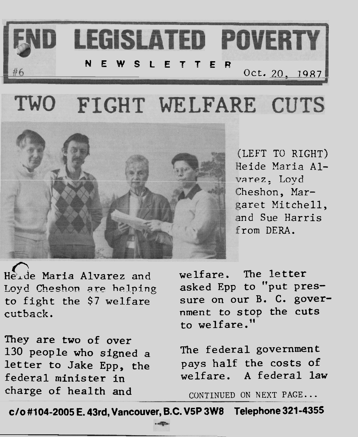

#### TWO FIGHT WELFARE CUTS



(LEFT **TO RIGHT)**  Ieide **Maria** Alvarez. Loyd :heshon, **Mar**  garet Mitchell, md Sue Harris from DERA.

Heide Maria Alvarez and welfare. The letter Loyd Cheshon are helping asked Epp to "put pres-<br>to fight the \$7 welfare sure on our B. C. goverto fight the  $$7$  welfare cutback. *nment to stop the cuts* 

They are two of over **130** people who signed a The federal government letter to Jake Epp, the pays half the costs of charge of health and CONTINUED ON NEXT PAGE...

to welfare. **I1** 

federal minister in welfare. A federal law

**c/o #lO4-2OOS E. 43rd, Vancouver, B.C. V5P 3W8 Telephone 321-4355**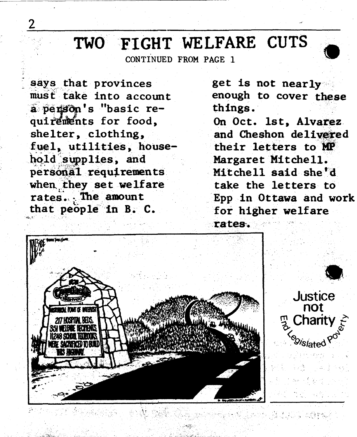## **TWO FIGHT WELFARE CUTS**

says that provinces must take into account **9 (1 s** basic requirements for food, shelter, clothing, fuel, utilities, house $bold$  supplies, and  $persona1$  **requirements** when they set welfare **rate&-** .- **The amount**  that **peb;ple-** in B. C. *6.* '

**get** is not nearly **<sup>A</sup>** enough to cover **these**  things . **Chings.**<br>
On Oct. 1st, Alvarez and Cheshon delivered their letters to **MP** Margaret Mitchell. **Mitchell said she'd**  take the letters to Epp in Ottawa **and** work for higher welfare **rates-.** 

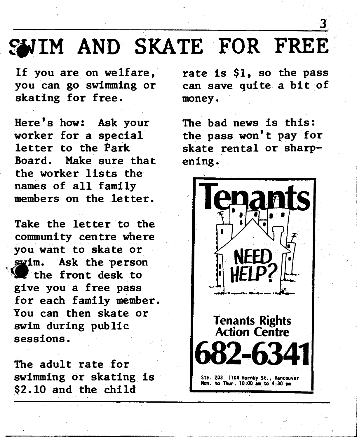#### & WIM **AND SKATE** FOR **FREEr**

If you are on welfare, you can go swimming or skating for free.

Here's how: Ask your worker for a special letter to the Park Board. Make sure that the worker lists the names of all family members on the letter.

Take the letter to the communi ty cen tre where you want to skate or swim. Ask the person the front desk to give you a free pass for each family member. You can then skate or swim during public sessions.

The adult rate for swimming or skating is \$2.10 and the **chila** 

rate is \$1, so the pass can save quite a bit of money.

The bad news is this: the pass won't pay for skate rental or sharpening.

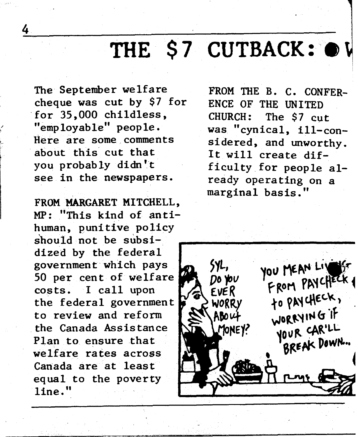### THE **\$7 CUTBACK:** *8* 1

**The** September welfare cheque was cut by \$7 for for 35,000 childless,  $"emplovable" people.$ Here are some comments about this cut that you probably didn't see in the newspapers.

4

**FROM MARGARET MITCHELL, MP:** "This kind of antihuman, punitive policy should not be subsidized by the federal government which pays 50 per cent of welfare costs. I call upon the federal government to review **and** reform the Canada **Ass** is tance Plan to ensure that welfare rates across Canada are at least equal to the poverty line. **<sup>11</sup>**

FROM THE B. C. CONFER-**ENCE** OF THE **UNITED**  CHURCH: The \$7 cut was "cynical, ill-considered, and unworthy. It will create difficulty for people al**ready operating** on a marginal basis."

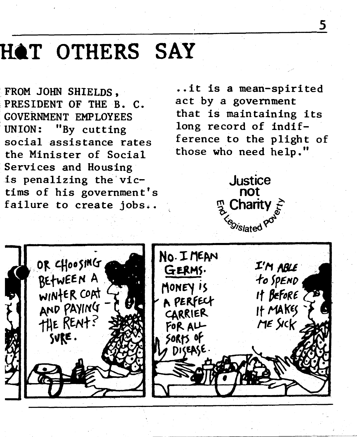#### **H1T OTHERS SAY**

PRESIDENT OF THE **B. C. GOVE~NMENT EMPLOYEES that is maintaining its**  UNION: "By cutting long record of indif**the Minister of Social**  ! **Services and Housing**  is penalizing the vic-<br> **dustice**<br> **dustice**<br> **on**<br> **not** tims of his government's **not**<br> **failure to create jobs. by Charity** failure to create jobs..

FROM JOHN SHIELDS, ..it is a mean-spirited<br>PRESIDENT OF THE B C act by a government **social assistance rates ference to the plight of**  those who need help."

5



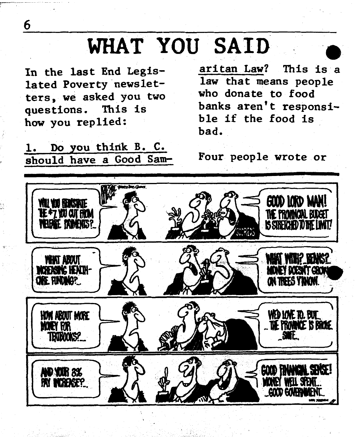#### **WHAT YOU SAID**

**In the last End Legislated Poverty newsletters, we asked you two questions. This is how you replied:** 

**1.** Do you think B. C. **should have a Good Sam- Four people wrote or** 

**aritan Law? This is a law that means people who donate to food**  banks aren't responsi**ble if the food is bad.** 



6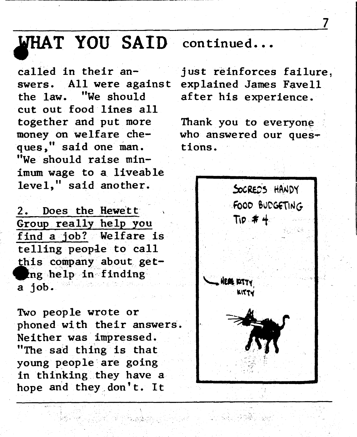# **P THAT YOU SAID** continued...<br>called in their an-<br>iust reinforces

swers. All were against explained James Favell<br>the law. "We should after his experience. cut out food lines all<br>together and put more money on welfare che- who answered our ques-I I money on weltare che- a who answ<br>ques, said one man. tions.<br>"We should raise minimum wage to a liveable level," said another.

2. Does the Hewett Group **really** help you find a job? Welfare i **telling** peopde to **call**  this company about **get**eng help in finding **a job.** 

**TWO** people wrote or phoned with their answers. Neither was impressed. "The sad **thing** is **that**  young people are going in thinking they have a hope and they don't. It

Served André 1990

just reinforces failure, after his experience.

Thank you to everyone